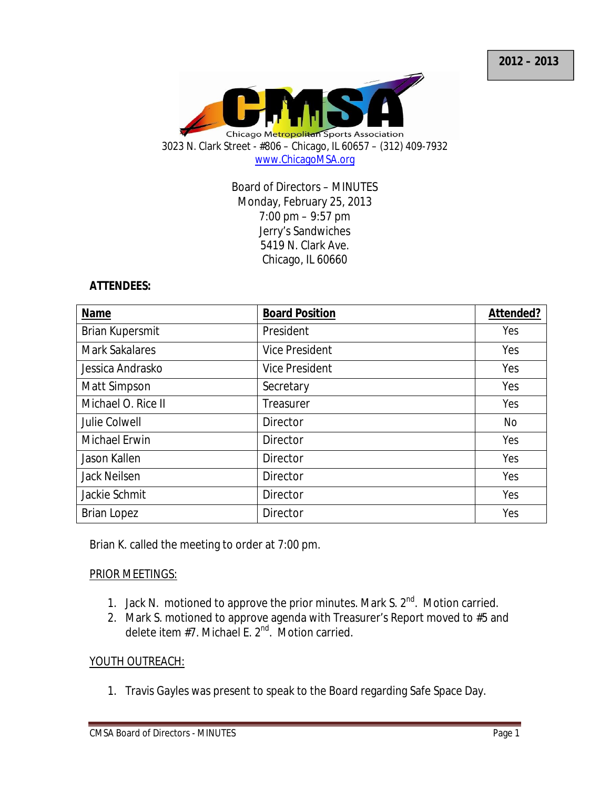

Board of Directors – MINUTES Monday, February 25, 2013 7:00 pm – 9:57 pm Jerry's Sandwiches 5419 N. Clark Ave. Chicago, IL 60660

#### **ATTENDEES:**

| Name                  | <b>Board Position</b> | Attended? |
|-----------------------|-----------------------|-----------|
| Brian Kupersmit       | President             | Yes       |
| <b>Mark Sakalares</b> | <b>Vice President</b> | Yes       |
| Jessica Andrasko      | <b>Vice President</b> | Yes       |
| Matt Simpson          | Secretary             | Yes       |
| Michael O. Rice II    | Treasurer             | Yes       |
| Julie Colwell         | Director              | <b>No</b> |
| Michael Erwin         | <b>Director</b>       | Yes       |
| Jason Kallen          | Director              | Yes       |
| <b>Jack Neilsen</b>   | Director              | Yes       |
| Jackie Schmit         | <b>Director</b>       | Yes       |
| <b>Brian Lopez</b>    | <b>Director</b>       | Yes       |

Brian K. called the meeting to order at 7:00 pm.

## PRIOR MEETINGS:

- 1. Jack N. motioned to approve the prior minutes. Mark S. 2<sup>nd</sup>. Motion carried.
- 2. Mark S. motioned to approve agenda with Treasurer's Report moved to #5 and delete item #7. Michael E. 2<sup>nd</sup>. Motion carried.

## YOUTH OUTREACH:

1. Travis Gayles was present to speak to the Board regarding Safe Space Day.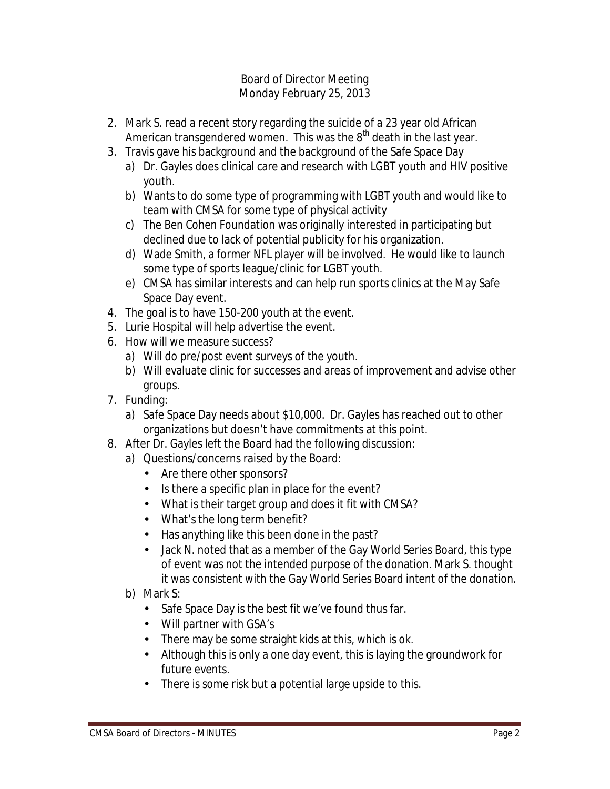- 2. Mark S. read a recent story regarding the suicide of a 23 year old African American transgendered women. This was the  $8<sup>th</sup>$  death in the last year.
- 3. Travis gave his background and the background of the Safe Space Day
	- a) Dr. Gayles does clinical care and research with LGBT youth and HIV positive youth.
	- b) Wants to do some type of programming with LGBT youth and would like to team with CMSA for some type of physical activity
	- c) The Ben Cohen Foundation was originally interested in participating but declined due to lack of potential publicity for his organization.
	- d) Wade Smith, a former NFL player will be involved. He would like to launch some type of sports league/clinic for LGBT youth.
	- e) CMSA has similar interests and can help run sports clinics at the May Safe Space Day event.
- 4. The goal is to have 150-200 youth at the event.
- 5. Lurie Hospital will help advertise the event.
- 6. How will we measure success?
	- a) Will do pre/post event surveys of the youth.
	- b) Will evaluate clinic for successes and areas of improvement and advise other groups.
- 7. Funding:
	- a) Safe Space Day needs about \$10,000. Dr. Gayles has reached out to other organizations but doesn't have commitments at this point.
- 8. After Dr. Gayles left the Board had the following discussion:
	- a) Questions/concerns raised by the Board:
		- Are there other sponsors?
		- Is there a specific plan in place for the event?
		- What is their target group and does it fit with CMSA?
		- What's the long term benefit?
		- Has anything like this been done in the past?
		- Jack N. noted that as a member of the Gay World Series Board, this type of event was not the intended purpose of the donation. Mark S. thought it was consistent with the Gay World Series Board intent of the donation.
	- b) Mark S:
		- Safe Space Day is the best fit we've found thus far.
		- Will partner with GSA's
		- There may be some straight kids at this, which is ok.
		- Although this is only a one day event, this is laying the groundwork for future events.
		- There is some risk but a potential large upside to this.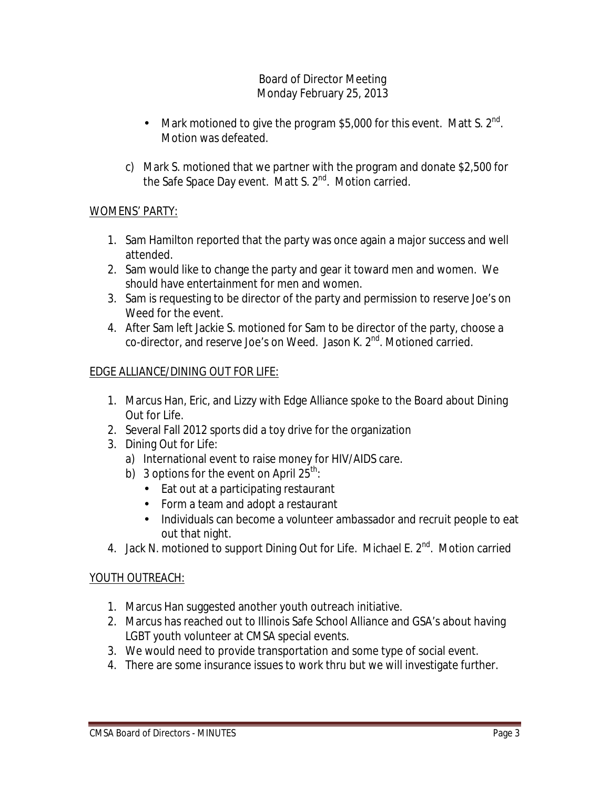- Mark motioned to give the program \$5,000 for this event. Matt S.  $2^{nd}$ . Motion was defeated.
- c) Mark S. motioned that we partner with the program and donate \$2,500 for the Safe Space Day event. Matt S. 2<sup>nd</sup>. Motion carried.

## WOMENS' PARTY:

- 1. Sam Hamilton reported that the party was once again a major success and well attended.
- 2. Sam would like to change the party and gear it toward men and women. We should have entertainment for men and women.
- 3. Sam is requesting to be director of the party and permission to reserve Joe's on Weed for the event.
- 4. After Sam left Jackie S. motioned for Sam to be director of the party, choose a co-director, and reserve Joe's on Weed. Jason K. 2<sup>nd</sup>. Motioned carried.

## EDGE ALLIANCE/DINING OUT FOR LIFE:

- 1. Marcus Han, Eric, and Lizzy with Edge Alliance spoke to the Board about Dining Out for Life.
- 2. Several Fall 2012 sports did a toy drive for the organization
- 3. Dining Out for Life:
	- a) International event to raise money for HIV/AIDS care.
	- b) 3 options for the event on April  $25^{th}$ :
		- Eat out at a participating restaurant
		- Form a team and adopt a restaurant
		- Individuals can become a volunteer ambassador and recruit people to eat out that night.
- 4. Jack N. motioned to support Dining Out for Life. Michael E. 2<sup>nd</sup>. Motion carried

## YOUTH OUTREACH:

- 1. Marcus Han suggested another youth outreach initiative.
- 2. Marcus has reached out to Illinois Safe School Alliance and GSA's about having LGBT youth volunteer at CMSA special events.
- 3. We would need to provide transportation and some type of social event.
- 4. There are some insurance issues to work thru but we will investigate further.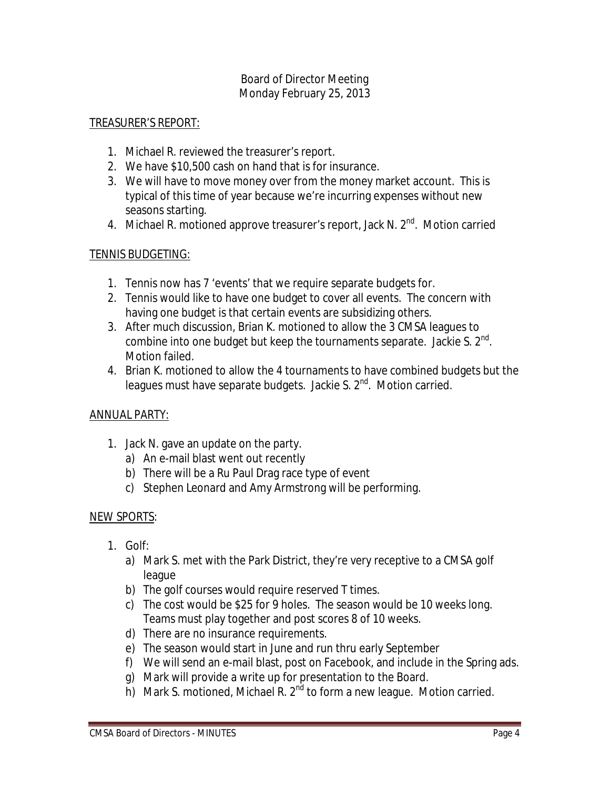## TREASURER'S REPORT:

- 1. Michael R. reviewed the treasurer's report.
- 2. We have \$10,500 cash on hand that is for insurance.
- 3. We will have to move money over from the money market account. This is typical of this time of year because we're incurring expenses without new seasons starting.
- 4. Michael R. motioned approve treasurer's report, Jack N. 2<sup>nd</sup>. Motion carried

#### TENNIS BUDGETING:

- 1. Tennis now has 7 'events' that we require separate budgets for.
- 2. Tennis would like to have one budget to cover all events. The concern with having one budget is that certain events are subsidizing others.
- 3. After much discussion, Brian K. motioned to allow the 3 CMSA leagues to combine into one budget but keep the tournaments separate. Jackie S. 2 $^{\text{nd}}$ . Motion failed.
- 4. Brian K. motioned to allow the 4 tournaments to have combined budgets but the leagues must have separate budgets. Jackie S.  $2<sup>nd</sup>$ . Motion carried.

#### ANNUAL PARTY:

- 1. Jack N. gave an update on the party.
	- a) An e-mail blast went out recently
	- b) There will be a Ru Paul Drag race type of event
	- c) Stephen Leonard and Amy Armstrong will be performing.

#### NEW SPORTS:

- 1. Golf:
	- a) Mark S. met with the Park District, they're very receptive to a CMSA golf league
	- b) The golf courses would require reserved T times.
	- c) The cost would be \$25 for 9 holes. The season would be 10 weeks long. Teams must play together and post scores 8 of 10 weeks.
	- d) There are no insurance requirements.
	- e) The season would start in June and run thru early September
	- f) We will send an e-mail blast, post on Facebook, and include in the Spring ads.
	- g) Mark will provide a write up for presentation to the Board.
	- h) Mark S. motioned, Michael R. 2<sup>nd</sup> to form a new league. Motion carried.